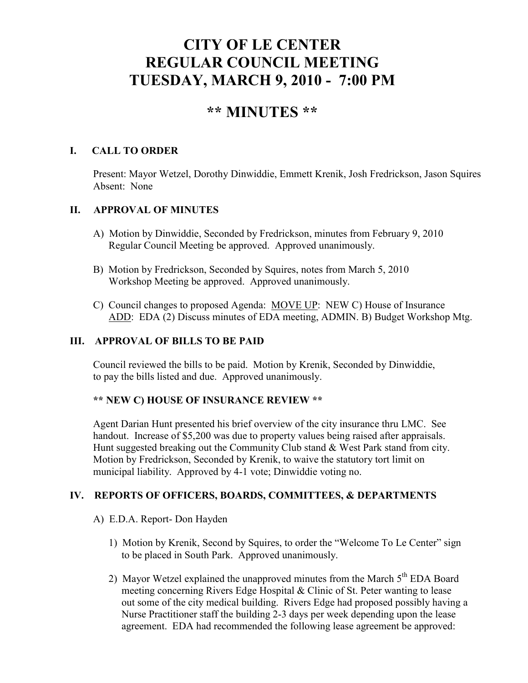# **CITY OF LE CENTER REGULAR COUNCIL MEETING TUESDAY, MARCH 9, 2010 - 7:00 PM**

## **\*\* MINUTES \*\***

## **I. CALL TO ORDER**

Present: Mayor Wetzel, Dorothy Dinwiddie, Emmett Krenik, Josh Fredrickson, Jason Squires Absent: None

## **II. APPROVAL OF MINUTES**

- A) Motion by Dinwiddie, Seconded by Fredrickson, minutes from February 9, 2010 Regular Council Meeting be approved. Approved unanimously.
- B) Motion by Fredrickson, Seconded by Squires, notes from March 5, 2010 Workshop Meeting be approved. Approved unanimously.
- C) Council changes to proposed Agenda: MOVE UP: NEW C) House of Insurance ADD: EDA (2) Discuss minutes of EDA meeting, ADMIN. B) Budget Workshop Mtg.

## **III. APPROVAL OF BILLS TO BE PAID**

Council reviewed the bills to be paid. Motion by Krenik, Seconded by Dinwiddie, to pay the bills listed and due. Approved unanimously.

## **\*\* NEW C) HOUSE OF INSURANCE REVIEW \*\***

Agent Darian Hunt presented his brief overview of the city insurance thru LMC. See handout. Increase of \$5,200 was due to property values being raised after appraisals. Hunt suggested breaking out the Community Club stand & West Park stand from city. Motion by Fredrickson, Seconded by Krenik, to waive the statutory tort limit on municipal liability. Approved by 4-1 vote; Dinwiddie voting no.

## **IV. REPORTS OF OFFICERS, BOARDS, COMMITTEES, & DEPARTMENTS**

- A) E.D.A. Report- Don Hayden
	- 1) Motion by Krenik, Second by Squires, to order the "Welcome To Le Center" sign to be placed in South Park. Approved unanimously.
	- 2) Mayor Wetzel explained the unapproved minutes from the March  $5<sup>th</sup>$  EDA Board meeting concerning Rivers Edge Hospital & Clinic of St. Peter wanting to lease out some of the city medical building. Rivers Edge had proposed possibly having a Nurse Practitioner staff the building 2-3 days per week depending upon the lease agreement. EDA had recommended the following lease agreement be approved: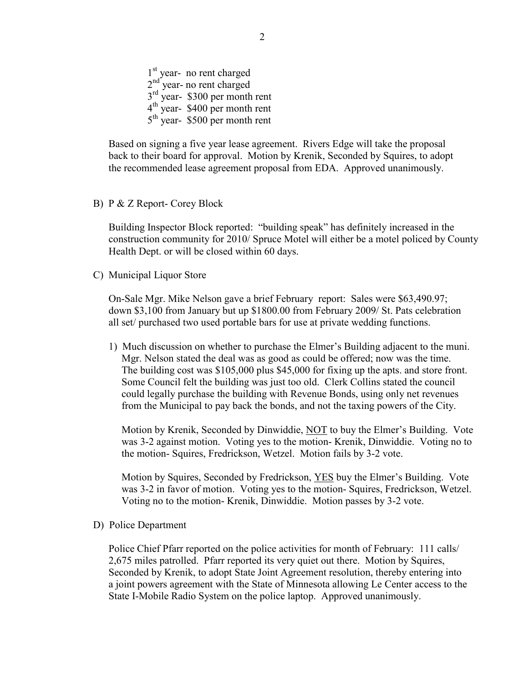1<sup>st</sup> year- no rent charged  $2<sup>nd</sup>$  year- no rent charged 3<sup>rd</sup> year- \$300 per month rent  $4<sup>th</sup>$  year- \$400 per month rent 5<sup>th</sup> year- \$500 per month rent

Based on signing a five year lease agreement. Rivers Edge will take the proposal back to their board for approval. Motion by Krenik, Seconded by Squires, to adopt the recommended lease agreement proposal from EDA. Approved unanimously.

B) P & Z Report- Corey Block

 Building Inspector Block reported: "building speak" has definitely increased in the construction community for 2010/ Spruce Motel will either be a motel policed by County Health Dept. or will be closed within 60 days.

C) Municipal Liquor Store

On-Sale Mgr. Mike Nelson gave a brief February report: Sales were \$63,490.97; down \$3,100 from January but up \$1800.00 from February 2009/ St. Pats celebration all set/ purchased two used portable bars for use at private wedding functions.

1) Much discussion on whether to purchase the Elmer's Building adjacent to the muni. Mgr. Nelson stated the deal was as good as could be offered; now was the time. The building cost was \$105,000 plus \$45,000 for fixing up the apts. and store front. Some Council felt the building was just too old. Clerk Collins stated the council could legally purchase the building with Revenue Bonds, using only net revenues from the Municipal to pay back the bonds, and not the taxing powers of the City.

 Motion by Krenik, Seconded by Dinwiddie, NOT to buy the Elmer's Building. Vote was 3-2 against motion. Voting yes to the motion- Krenik, Dinwiddie. Voting no to the motion- Squires, Fredrickson, Wetzel. Motion fails by 3-2 vote.

 Motion by Squires, Seconded by Fredrickson, YES buy the Elmer's Building. Vote was 3-2 in favor of motion. Voting yes to the motion- Squires, Fredrickson, Wetzel. Voting no to the motion- Krenik, Dinwiddie. Motion passes by 3-2 vote.

D) Police Department

Police Chief Pfarr reported on the police activities for month of February: 111 calls/ 2,675 miles patrolled. Pfarr reported its very quiet out there. Motion by Squires, Seconded by Krenik, to adopt State Joint Agreement resolution, thereby entering into a joint powers agreement with the State of Minnesota allowing Le Center access to the State I-Mobile Radio System on the police laptop. Approved unanimously.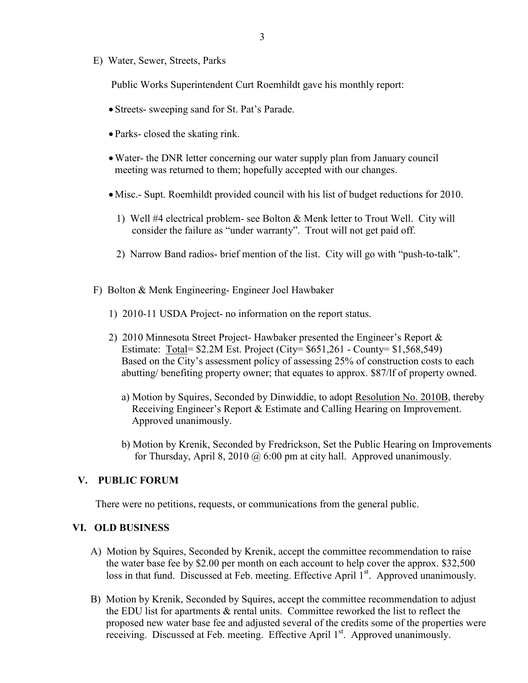E) Water, Sewer, Streets, Parks

Public Works Superintendent Curt Roemhildt gave his monthly report:

- Streets- sweeping sand for St. Pat's Parade.
- Parks- closed the skating rink.
- •Water- the DNR letter concerning our water supply plan from January council meeting was returned to them; hopefully accepted with our changes.
- Misc.- Supt. Roemhildt provided council with his list of budget reductions for 2010.
	- 1) Well #4 electrical problem- see Bolton & Menk letter to Trout Well. City will consider the failure as "under warranty". Trout will not get paid off.
	- 2) Narrow Band radios- brief mention of the list. City will go with "push-to-talk".
- F) Bolton & Menk Engineering- Engineer Joel Hawbaker
	- 1) 2010-11 USDA Project- no information on the report status.
	- 2) 2010 Minnesota Street Project- Hawbaker presented the Engineer's Report & Estimate: Total= \$2.2M Est. Project (City= \$651,261 - County= \$1,568,549) Based on the City's assessment policy of assessing 25% of construction costs to each abutting/ benefiting property owner; that equates to approx. \$87/lf of property owned.
		- a) Motion by Squires, Seconded by Dinwiddie, to adopt Resolution No. 2010B, thereby Receiving Engineer's Report & Estimate and Calling Hearing on Improvement. Approved unanimously.
		- b) Motion by Krenik, Seconded by Fredrickson, Set the Public Hearing on Improvements for Thursday, April 8, 2010  $\omega$  6:00 pm at city hall. Approved unanimously.

#### **V. PUBLIC FORUM**

There were no petitions, requests, or communications from the general public.

#### **VI. OLD BUSINESS**

- A) Motion by Squires, Seconded by Krenik, accept the committee recommendation to raise the water base fee by \$2.00 per month on each account to help cover the approx. \$32,500 loss in that fund. Discussed at Feb. meeting. Effective April 1<sup>st</sup>. Approved unanimously.
- B) Motion by Krenik, Seconded by Squires, accept the committee recommendation to adjust the EDU list for apartments & rental units. Committee reworked the list to reflect the proposed new water base fee and adjusted several of the credits some of the properties were receiving. Discussed at Feb. meeting. Effective April 1<sup>st</sup>. Approved unanimously.